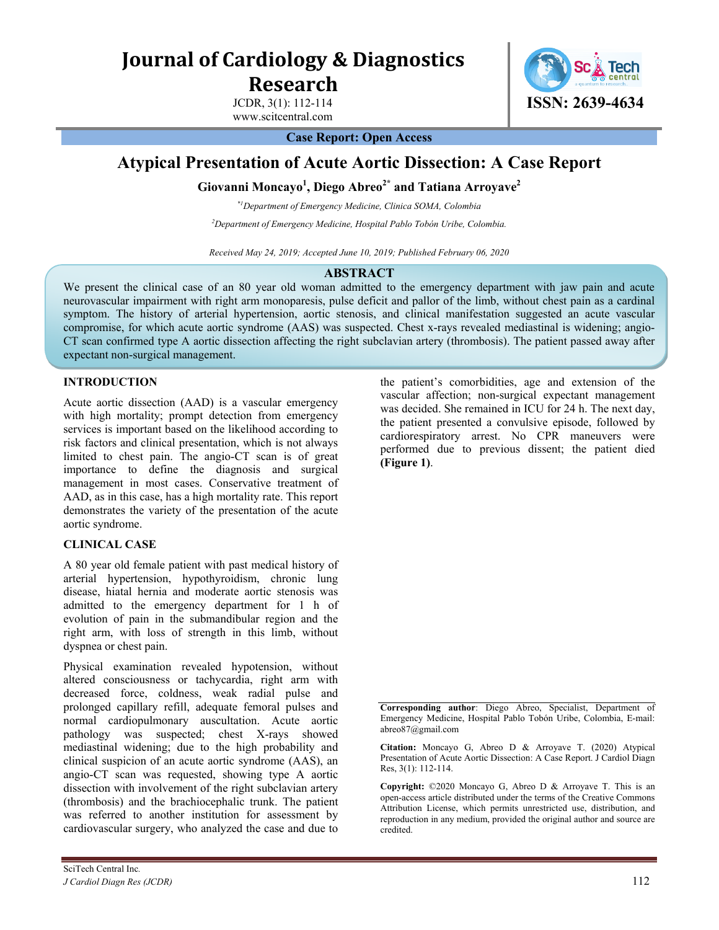**Journal of Cardiology & Diagnostics Research**

JCDR, 3(1): 112-114

www.scitcentral.com



**Case Report: Open Access**

# **Atypical Presentation of Acute Aortic Dissection: A Case Report**

# **Giovanni Moncayo 1 , Diego Abreo2\* and Tatiana Arroyave<sup>2</sup>**

*\*1Department of Emergency Medicine, Clinica SOMA, Colombia* 

*<sup>2</sup>Department of Emergency Medicine, Hospital Pablo Tobón Uribe, Colombia.* 

*Received May 24, 2019; Accepted June 10, 2019; Published February 06, 2020*

## **ABSTRACT**

We present the clinical case of an 80 year old woman admitted to the emergency department with jaw pain and acute neurovascular impairment with right arm monoparesis, pulse deficit and pallor of the limb, without chest pain as a cardinal symptom. The history of arterial hypertension, aortic stenosis, and clinical manifestation suggested an acute vascular compromise, for which acute aortic syndrome (AAS) was suspected. Chest x-rays revealed mediastinal is widening; angio-CT scan confirmed type A aortic dissection affecting the right subclavian artery (thrombosis). The patient passed away after expectant non-surgical management.

#### **INTRODUCTION**

Acute aortic dissection (AAD) is a vascular emergency with high mortality; prompt detection from emergency services is important based on the likelihood according to risk factors and clinical presentation, which is not always limited to chest pain. The angio-CT scan is of great importance to define the diagnosis and surgical management in most cases. Conservative treatment of AAD, as in this case, has a high mortality rate. This report demonstrates the variety of the presentation of the acute aortic syndrome.

#### **CLINICAL CASE**

A 80 year old female patient with past medical history of arterial hypertension, hypothyroidism, chronic lung disease, hiatal hernia and moderate aortic stenosis was admitted to the emergency department for 1 h of evolution of pain in the submandibular region and the right arm, with loss of strength in this limb, without dyspnea or chest pain.

Physical examination revealed hypotension, without altered consciousness or tachycardia, right arm with decreased force, coldness, weak radial pulse and prolonged capillary refill, adequate femoral pulses and normal cardiopulmonary auscultation. Acute aortic pathology was suspected; chest X-rays showed mediastinal widening; due to the high probability and clinical suspicion of an acute aortic syndrome (AAS), an angio-CT scan was requested, showing type A aortic dissection with involvement of the right subclavian artery (thrombosis) and the brachiocephalic trunk. The patient was referred to another institution for assessment by cardiovascular surgery, who analyzed the case and due to

the patient's comorbidities, age and extension of the vascular affection; non-surgical expectant management was decided. She remained in ICU for 24 h. The next day, the patient presented a convulsive episode, followed by cardiorespiratory arrest. No CPR maneuvers were performed due to previous dissent; the patient died **(Figure 1)**.

**Corresponding author**: Diego Abreo, Specialist, Department of Emergency Medicine, Hospital Pablo Tobón Uribe, Colombia, E-mail: abreo87@gmail.com

**Citation:** Moncayo G, Abreo D & Arroyave T. (2020) Atypical Presentation of Acute Aortic Dissection: A Case Report. J Cardiol Diagn Res, 3(1): 112-114.

**Copyright:** ©2020 Moncayo G, Abreo D & Arroyave T. This is an open-access article distributed under the terms of the Creative Commons Attribution License, which permits unrestricted use, distribution, and reproduction in any medium, provided the original author and source are credited.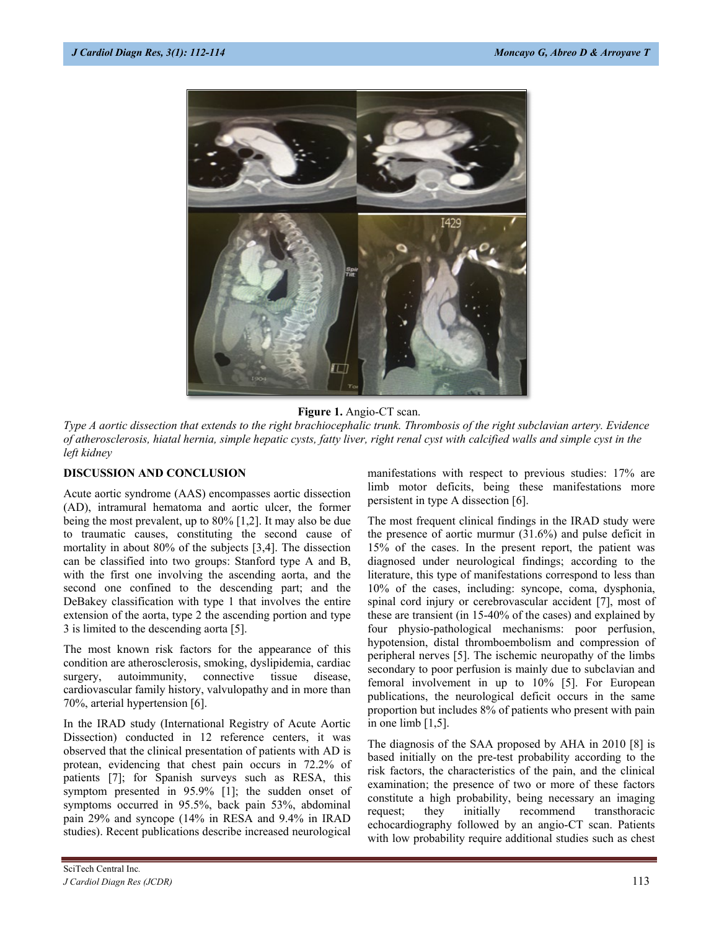

**Figure 1.** Angio-CT scan.

*Type A aortic dissection that extends to the right brachiocephalic trunk. Thrombosis of the right subclavian artery. Evidence of atherosclerosis, hiatal hernia, simple hepatic cysts, fatty liver, right renal cyst with calcified walls and simple cyst in the left kidney*

#### **DISCUSSION AND CONCLUSION**

Acute aortic syndrome (AAS) encompasses aortic dissection (AD), intramural hematoma and aortic ulcer, the former being the most prevalent, up to 80% [1,2]. It may also be due to traumatic causes, constituting the second cause of mortality in about 80% of the subjects [3,4]. The dissection can be classified into two groups: Stanford type A and B, with the first one involving the ascending aorta, and the second one confined to the descending part; and the DeBakey classification with type 1 that involves the entire extension of the aorta, type 2 the ascending portion and type 3 is limited to the descending aorta [5].

The most known risk factors for the appearance of this condition are atherosclerosis, smoking, dyslipidemia, cardiac surgery, autoimmunity, connective tissue disease, cardiovascular family history, valvulopathy and in more than 70%, arterial hypertension [6].

In the IRAD study (International Registry of Acute Aortic Dissection) conducted in 12 reference centers, it was observed that the clinical presentation of patients with AD is protean, evidencing that chest pain occurs in 72.2% of patients [7]; for Spanish surveys such as RESA, this symptom presented in 95.9% [1]; the sudden onset of symptoms occurred in 95.5%, back pain 53%, abdominal pain 29% and syncope (14% in RESA and 9.4% in IRAD studies). Recent publications describe increased neurological manifestations with respect to previous studies: 17% are limb motor deficits, being these manifestations more persistent in type A dissection [6].

The most frequent clinical findings in the IRAD study were the presence of aortic murmur (31.6%) and pulse deficit in 15% of the cases. In the present report, the patient was diagnosed under neurological findings; according to the literature, this type of manifestations correspond to less than 10% of the cases, including: syncope, coma, dysphonia, spinal cord injury or cerebrovascular accident [7], most of these are transient (in 15-40% of the cases) and explained by four physio-pathological mechanisms: poor perfusion, hypotension, distal thromboembolism and compression of peripheral nerves [5]. The ischemic neuropathy of the limbs secondary to poor perfusion is mainly due to subclavian and femoral involvement in up to 10% [5]. For European publications, the neurological deficit occurs in the same proportion but includes 8% of patients who present with pain in one limb [1,5].

The diagnosis of the SAA proposed by AHA in 2010 [8] is based initially on the pre-test probability according to the risk factors, the characteristics of the pain, and the clinical examination; the presence of two or more of these factors constitute a high probability, being necessary an imaging request; they initially recommend transthoracic echocardiography followed by an angio-CT scan. Patients with low probability require additional studies such as chest